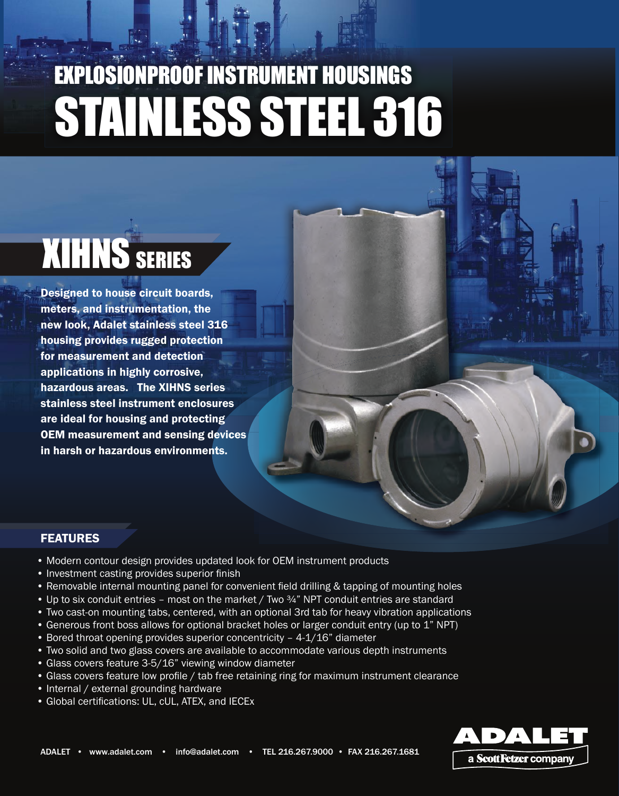# EXPLOSIONPROOF INSTRUMENT HOUSINGS STAINLESS STEEL 316

# **XIHNS SERIES**

Designed to house circuit boards, meters, and instrumentation, the new look, Adalet stainless steel 316 housing provides rugged protection for measurement and detection applications in highly corrosive, hazardous areas. The XIHNS series stainless steel instrument enclosures are ideal for housing and protecting OEM measurement and sensing devices in harsh or hazardous environments.

#### **FEATURES**

- Modern contour design provides updated look for OEM instrument products
- Investment casting provides superior finish
- Removable internal mounting panel for convenient field drilling & tapping of mounting holes
- Up to six conduit entries most on the market / Two  $\frac{3}{4}$ " NPT conduit entries are standard
- Two cast-on mounting tabs, centered, with an optional 3rd tab for heavy vibration applications
- Generous front boss allows for optional bracket holes or larger conduit entry (up to 1" NPT)
- Bored throat opening provides superior concentricity 4-1/16" diameter
- Two solid and two glass covers are available to accommodate various depth instruments
- Glass covers feature 3-5/16" viewing window diameter
- Glass covers feature low profile / tab free retaining ring for maximum instrument clearance
- Internal / external grounding hardware
- Global certifications: UL, cUL, ATEX, and IECEx